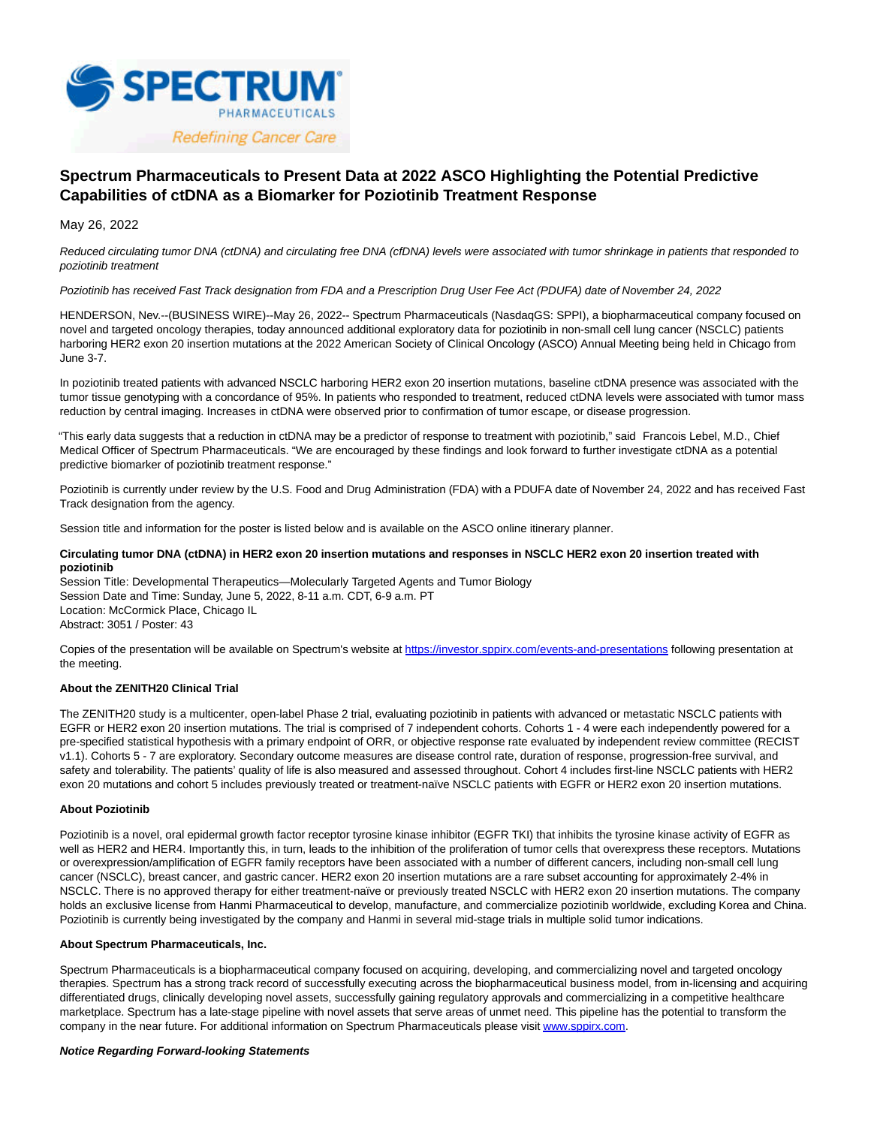

# **Spectrum Pharmaceuticals to Present Data at 2022 ASCO Highlighting the Potential Predictive Capabilities of ctDNA as a Biomarker for Poziotinib Treatment Response**

May 26, 2022

Reduced circulating tumor DNA (ctDNA) and circulating free DNA (cfDNA) levels were associated with tumor shrinkage in patients that responded to poziotinib treatment

# Poziotinib has received Fast Track designation from FDA and a Prescription Drug User Fee Act (PDUFA) date of November 24, 2022

HENDERSON, Nev.--(BUSINESS WIRE)--May 26, 2022-- Spectrum Pharmaceuticals (NasdaqGS: SPPI), a biopharmaceutical company focused on novel and targeted oncology therapies, today announced additional exploratory data for poziotinib in non-small cell lung cancer (NSCLC) patients harboring HER2 exon 20 insertion mutations at the 2022 American Society of Clinical Oncology (ASCO) Annual Meeting being held in Chicago from June 3-7.

In poziotinib treated patients with advanced NSCLC harboring HER2 exon 20 insertion mutations, baseline ctDNA presence was associated with the tumor tissue genotyping with a concordance of 95%. In patients who responded to treatment, reduced ctDNA levels were associated with tumor mass reduction by central imaging. Increases in ctDNA were observed prior to confirmation of tumor escape, or disease progression.

"This early data suggests that a reduction in ctDNA may be a predictor of response to treatment with poziotinib," said Francois Lebel, M.D., Chief Medical Officer of Spectrum Pharmaceuticals. "We are encouraged by these findings and look forward to further investigate ctDNA as a potential predictive biomarker of poziotinib treatment response."

Poziotinib is currently under review by the U.S. Food and Drug Administration (FDA) with a PDUFA date of November 24, 2022 and has received Fast Track designation from the agency.

Session title and information for the poster is listed below and is available on the ASCO online itinerary planner.

## **Circulating tumor DNA (ctDNA) in HER2 exon 20 insertion mutations and responses in NSCLC HER2 exon 20 insertion treated with poziotinib**

Session Title: Developmental Therapeutics—Molecularly Targeted Agents and Tumor Biology Session Date and Time: Sunday, June 5, 2022, 8-11 a.m. CDT, 6-9 a.m. PT Location: McCormick Place, Chicago IL Abstract: 3051 / Poster: 43

Copies of the presentation will be available on Spectrum's website at [https://investor.sppirx.com/events-and-presentations f](https://cts.businesswire.com/ct/CT?id=smartlink&url=https%3A%2F%2Finvestor.sppirx.com%2Fevents-and-presentations&esheet=52731481&newsitemid=20220526005212&lan=en-US&anchor=https%3A%2F%2Finvestor.sppirx.com%2Fevents-and-presentations&index=1&md5=aaa287c4d05c3b214f5f1d64dc083e5a)ollowing presentation at the meeting.

# **About the ZENITH20 Clinical Trial**

The ZENITH20 study is a multicenter, open-label Phase 2 trial, evaluating poziotinib in patients with advanced or metastatic NSCLC patients with EGFR or HER2 exon 20 insertion mutations. The trial is comprised of 7 independent cohorts. Cohorts 1 - 4 were each independently powered for a pre-specified statistical hypothesis with a primary endpoint of ORR, or objective response rate evaluated by independent review committee (RECIST v1.1). Cohorts 5 - 7 are exploratory. Secondary outcome measures are disease control rate, duration of response, progression-free survival, and safety and tolerability. The patients' quality of life is also measured and assessed throughout. Cohort 4 includes first-line NSCLC patients with HER2 exon 20 mutations and cohort 5 includes previously treated or treatment-naïve NSCLC patients with EGFR or HER2 exon 20 insertion mutations.

### **About Poziotinib**

Poziotinib is a novel, oral epidermal growth factor receptor tyrosine kinase inhibitor (EGFR TKI) that inhibits the tyrosine kinase activity of EGFR as well as HER2 and HER4. Importantly this, in turn, leads to the inhibition of the proliferation of tumor cells that overexpress these receptors. Mutations or overexpression/amplification of EGFR family receptors have been associated with a number of different cancers, including non-small cell lung cancer (NSCLC), breast cancer, and gastric cancer. HER2 exon 20 insertion mutations are a rare subset accounting for approximately 2-4% in NSCLC. There is no approved therapy for either treatment-naïve or previously treated NSCLC with HER2 exon 20 insertion mutations. The company holds an exclusive license from Hanmi Pharmaceutical to develop, manufacture, and commercialize poziotinib worldwide, excluding Korea and China. Poziotinib is currently being investigated by the company and Hanmi in several mid-stage trials in multiple solid tumor indications.

### **About Spectrum Pharmaceuticals, Inc.**

Spectrum Pharmaceuticals is a biopharmaceutical company focused on acquiring, developing, and commercializing novel and targeted oncology therapies. Spectrum has a strong track record of successfully executing across the biopharmaceutical business model, from in-licensing and acquiring differentiated drugs, clinically developing novel assets, successfully gaining regulatory approvals and commercializing in a competitive healthcare marketplace. Spectrum has a late-stage pipeline with novel assets that serve areas of unmet need. This pipeline has the potential to transform the company in the near future. For additional information on Spectrum Pharmaceuticals please visit [www.sppirx.com.](https://cts.businesswire.com/ct/CT?id=smartlink&url=http%3A%2F%2Fwww.sppirx.com&esheet=52731481&newsitemid=20220526005212&lan=en-US&anchor=www.sppirx.com&index=2&md5=7b4e5d66c770c3592efbb42ad598cc0f)

## **Notice Regarding Forward-looking Statements**